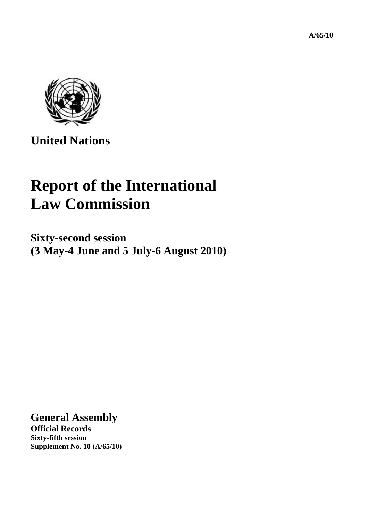**A/65/10** 



**United Nations** 

## **Report of the International Law Commission**

**Sixty-second session (3 May-4 June and 5 July-6 August 2010)** 

**General Assembly** 

**Official Records Sixty-fifth session Supplement No. 10 (A/65/10)**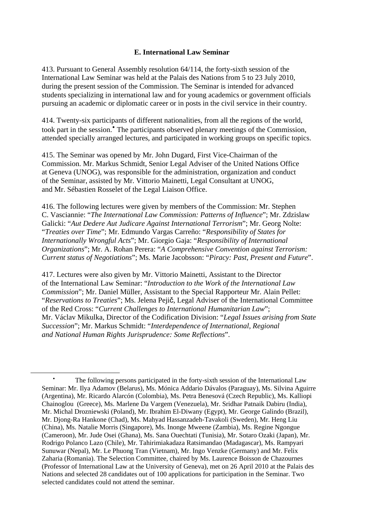## **E. International Law Seminar**

413. Pursuant to General Assembly resolution 64/114, the forty-sixth session of the International Law Seminar was held at the Palais des Nations from 5 to 23 July 2010, during the present session of the Commission. The Seminar is intended for advanced students specializing in international law and for young academics or government officials pursuing an academic or diplomatic career or in posts in the civil service in their country.

414. Twenty-six participants of different nationalities, from all the regions of the world, took part in the session.<sup>[•](#page-1-0)</sup> The participants observed plenary meetings of the Commission, attended specially arranged lectures, and participated in working groups on specific topics.

415. The Seminar was opened by Mr. John Dugard, First Vice-Chairman of the Commission. Mr. Markus Schmidt, Senior Legal Adviser of the United Nations Office at Geneva (UNOG), was responsible for the administration, organization and conduct of the Seminar, assisted by Mr. Vittorio Mainetti, Legal Consultant at UNOG, and Mr. Sébastien Rosselet of the Legal Liaison Office.

416. The following lectures were given by members of the Commission: Mr. Stephen C. Vasciannie: "*The International Law Commission: Patterns of Influence*"; Mr. Zdzislaw Galicki: "*Aut Dedere Aut Judicare Against International Terrorism*"; Mr. Georg Nolte: "*Treaties over Time*"; Mr. Edmundo Vargas Carreño: "*Responsibility of States for Internationally Wrongful Acts*"; Mr. Giorgio Gaja: "*Responsibility of International Organizations*"; Mr. A. Rohan Perera: "*A Comprehensive Convention against Terrorism: Current status of Negotiations*"; Ms. Marie Jacobsson: "*Piracy: Past, Present and Future*".

417. Lectures were also given by Mr. Vittorio Mainetti, Assistant to the Director of the International Law Seminar: "*Introduction to the Work of the International Law Commission*"; Mr. Daniel Müller, Assistant to the Special Rapporteur Mr. Alain Pellet: "*Reservations to Treaties*"; Ms. Jelena Pejič, Legal Adviser of the International Committee of the Red Cross: "*Current Challenges to International Humanitarian Law*"; Mr. Václav Mikulka, Director of the Codification Division: "*Legal Issues arising from State Succession*"; Mr. Markus Schmidt: "*Interdependence of International, Regional and National Human Rights Jurisprudence: Some Reflections*".

<span id="page-1-0"></span> $\overline{a}$ 

<sup>•</sup> The following persons participated in the forty-sixth session of the International Law Seminar: Mr. Ilya Adamov (Belarus), Ms. Mónica Addario Dávalos (Paraguay), Ms. Silvina Aguirre (Argentina), Mr. Ricardo Alarcón (Colombia), Ms. Petra Benesová (Czech Republic), Ms. Kalliopi Chainoglou (Greece), Ms. Marlene Da Vargem (Venezuela), Mr. Sridhar Patnaik Dabiru (India), Mr. Michal Drozniewski (Poland), Mr. Ibrahim El-Diwany (Egypt), Mr. George Galindo (Brazil), Mr. Djong-Ra Hankone (Chad), Ms. Mahyad Hassanzadeh-Tavakoli (Sweden), Mr. Heng Liu (China), Ms. Natalie Morris (Singapore), Ms. Inonge Mweene (Zambia), Ms. Regine Ngongue (Cameroon), Mr. Jude Osei (Ghana), Ms. Sana Ouechtati (Tunisia), Mr. Sotaro Ozaki (Japan), Mr. Rodrigo Polanco Lazo (Chile), Mr. Tahirimiakadaza Ratsimandao (Madagascar), Ms. Rampyari Sunuwar (Nepal), Mr. Le Phuong Tran (Vietnam), Mr. Ingo Venzke (Germany) and Mr. Felix Zaharia (Romania). The Selection Committee, chaired by Ms. Laurence Boisson de Chazournes (Professor of International Law at the University of Geneva), met on 26 April 2010 at the Palais des Nations and selected 28 candidates out of 100 applications for participation in the Seminar. Two selected candidates could not attend the seminar.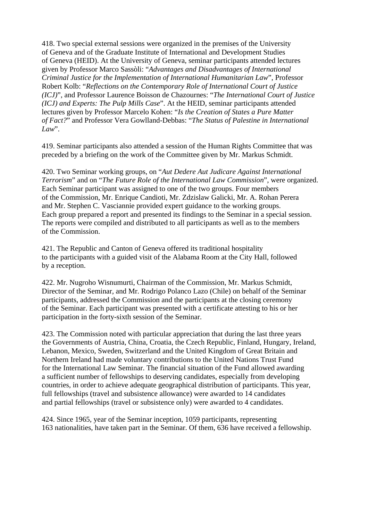418. Two special external sessions were organized in the premises of the University of Geneva and of the Graduate Institute of International and Development Studies of Geneva (HEID). At the University of Geneva, seminar participants attended lectures given by Professor Marco Sassòli: "*Advantages and Disadvantages of International Criminal Justice for the Implementation of International Humanitarian Law*", Professor Robert Kolb: "*Reflections on the Contemporary Role of International Court of Justice (ICJ)*", and Professor Laurence Boisson de Chazournes: "*The International Court of Justice (ICJ) and Experts: The Pulp Mills Case*". At the HEID, seminar participants attended lectures given by Professor Marcelo Kohen: "*Is the Creation of States a Pure Matter of Fact?*" and Professor Vera Gowlland-Debbas: "*The Status of Palestine in International*   $Law''$ .

419. Seminar participants also attended a session of the Human Rights Committee that was preceded by a briefing on the work of the Committee given by Mr. Markus Schmidt.

420. Two Seminar working groups, on "*Aut Dedere Aut Judicare Against International Terrorism*" and on "*The Future Role of the International Law Commission*", were organized. Each Seminar participant was assigned to one of the two groups. Four members of the Commission, Mr. Enrique Candioti, Mr. Zdzislaw Galicki, Mr. A. Rohan Perera and Mr. Stephen C. Vasciannie provided expert guidance to the working groups. Each group prepared a report and presented its findings to the Seminar in a special session. The reports were compiled and distributed to all participants as well as to the members of the Commission.

421. The Republic and Canton of Geneva offered its traditional hospitality to the participants with a guided visit of the Alabama Room at the City Hall, followed by a reception.

422. Mr. Nugroho Wisnumurti, Chairman of the Commission, Mr. Markus Schmidt, Director of the Seminar, and Mr. Rodrigo Polanco Lazo (Chile) on behalf of the Seminar participants, addressed the Commission and the participants at the closing ceremony of the Seminar. Each participant was presented with a certificate attesting to his or her participation in the forty-sixth session of the Seminar.

423. The Commission noted with particular appreciation that during the last three years the Governments of Austria, China, Croatia, the Czech Republic, Finland, Hungary, Ireland, Lebanon, Mexico, Sweden, Switzerland and the United Kingdom of Great Britain and Northern Ireland had made voluntary contributions to the United Nations Trust Fund for the International Law Seminar. The financial situation of the Fund allowed awarding a sufficient number of fellowships to deserving candidates, especially from developing countries, in order to achieve adequate geographical distribution of participants. This year, full fellowships (travel and subsistence allowance) were awarded to 14 candidates and partial fellowships (travel or subsistence only) were awarded to 4 candidates.

424. Since 1965, year of the Seminar inception, 1059 participants, representing 163 nationalities, have taken part in the Seminar. Of them, 636 have received a fellowship.